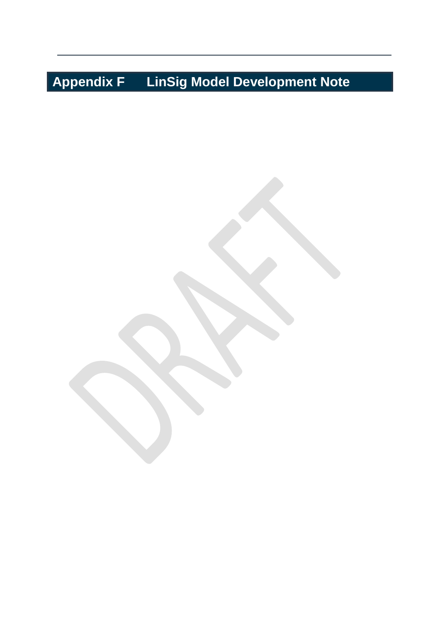# **Appendix F LinSig Model Development Note**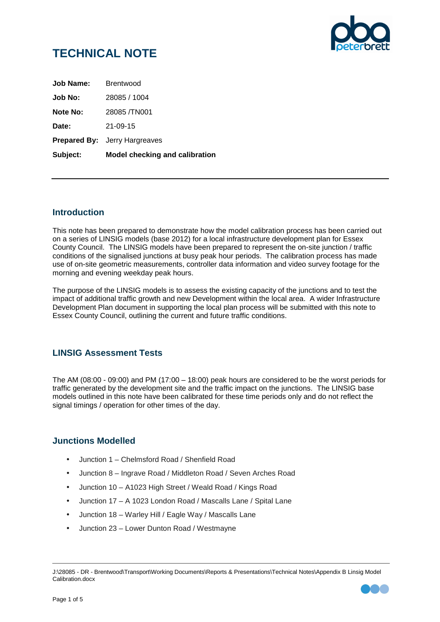

| Subject:         | <b>Model checking and calibration</b> |
|------------------|---------------------------------------|
|                  | <b>Prepared By:</b> Jerry Hargreaves  |
| Date:            | $21 - 09 - 15$                        |
| Note No:         | 28085/TN001                           |
| Job No:          | 28085 / 1004                          |
| <b>Job Name:</b> | <b>Brentwood</b>                      |

#### **Introduction**

This note has been prepared to demonstrate how the model calibration process has been carried out on a series of LINSIG models (base 2012) for a local infrastructure development plan for Essex County Council. The LINSIG models have been prepared to represent the on-site junction / traffic conditions of the signalised junctions at busy peak hour periods. The calibration process has made use of on-site geometric measurements, controller data information and video survey footage for the morning and evening weekday peak hours.

The purpose of the LINSIG models is to assess the existing capacity of the junctions and to test the impact of additional traffic growth and new Development within the local area. A wider Infrastructure Development Plan document in supporting the local plan process will be submitted with this note to Essex County Council, outlining the current and future traffic conditions.

## **LINSIG Assessment Tests**

The AM (08:00 - 09:00) and PM (17:00 – 18:00) peak hours are considered to be the worst periods for traffic generated by the development site and the traffic impact on the junctions. The LINSIG base models outlined in this note have been calibrated for these time periods only and do not reflect the signal timings / operation for other times of the day.

#### **Junctions Modelled**

- Junction 1 Chelmsford Road / Shenfield Road
- Junction 8 Ingrave Road / Middleton Road / Seven Arches Road
- Junction 10 A1023 High Street / Weald Road / Kings Road
- Junction 17 A 1023 London Road / Mascalls Lane / Spital Lane
- Junction 18 Warley Hill / Eagle Way / Mascalls Lane
- Junction 23 Lower Dunton Road / Westmayne

J:\28085 - DR - Brentwood\Transport\Working Documents\Reports & Presentations\Technical Notes\Appendix B Linsig Model Calibration.docx

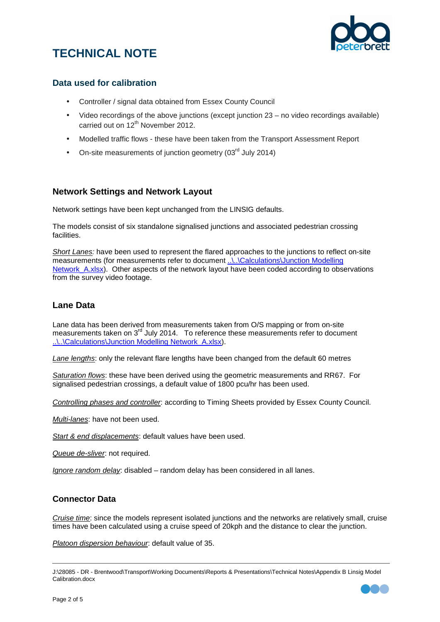



#### **Data used for calibration**

- Controller / signal data obtained from Essex County Council
- Video recordings of the above junctions (except junction 23 no video recordings available) carried out on 12<sup>th</sup> November 2012.
- Modelled traffic flows these have been taken from the Transport Assessment Report
- On-site measurements of junction geometry  $(03<sup>rd</sup>$  July 2014)

#### **Network Settings and Network Layout**

Network settings have been kept unchanged from the LINSIG defaults.

The models consist of six standalone signalised junctions and associated pedestrian crossing **facilities** 

Short Lanes: have been used to represent the flared approaches to the junctions to reflect on-site measurements (for measurements refer to document ..\.\Calculations\Junction Modelling Network A.xlsx). Other aspects of the network layout have been coded according to observations from the survey video footage.

#### **Lane Data**

Lane data has been derived from measurements taken from O/S mapping or from on-site measurements taken on 3<sup>rd</sup> July 2014. To reference these measurements refer to document ..\..\Calculations\Junction Modelling Network\_A.xlsx).

Lane lengths: only the relevant flare lengths have been changed from the default 60 metres

Saturation flows: these have been derived using the geometric measurements and RR67. For signalised pedestrian crossings, a default value of 1800 pcu/hr has been used.

Controlling phases and controller: according to Timing Sheets provided by Essex County Council.

Multi-lanes: have not been used.

Start & end displacements: default values have been used.

Queue de-sliver: not required.

Ignore random delay: disabled – random delay has been considered in all lanes.

#### **Connector Data**

Cruise time: since the models represent isolated junctions and the networks are relatively small, cruise times have been calculated using a cruise speed of 20kph and the distance to clear the junction.

Platoon dispersion behaviour: default value of 35.

J:\28085 - DR - Brentwood\Transport\Working Documents\Reports & Presentations\Technical Notes\Appendix B Linsig Model Calibration.docx

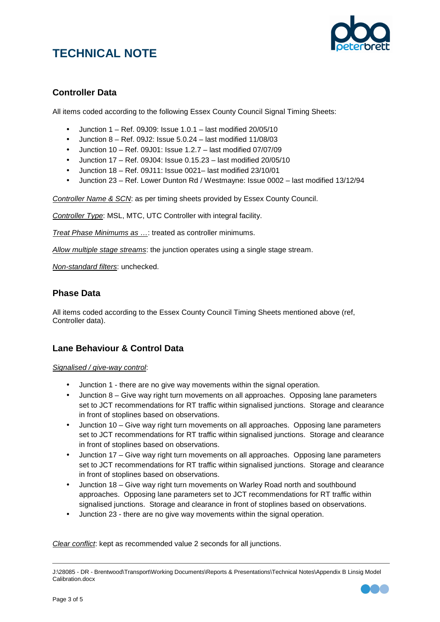

## **Controller Data**

All items coded according to the following Essex County Council Signal Timing Sheets:

- Junction 1 Ref. 09J09: Issue 1.0.1 last modified 20/05/10
- Junction  $8 \text{Ref. } 09J2$ : Issue  $5.0.24 \text{last modified } 11/08/03$
- Junction 10 Ref. 09J01: Issue 1.2.7 last modified 07/07/09
- $\bullet$  Junction 17 Ref. 09J04: Issue 0.15.23 last modified 20/05/10
- Junction 18 Ref. 09J11: Issue 0021– last modified 23/10/01
- Junction 23 Ref. Lower Dunton Rd / Westmayne: Issue 0002 last modified 13/12/94

Controller Name & SCN: as per timing sheets provided by Essex County Council.

Controller Type: MSL, MTC, UTC Controller with integral facility.

Treat Phase Minimums as …: treated as controller minimums.

Allow multiple stage streams: the junction operates using a single stage stream.

Non-standard filters: unchecked.

#### **Phase Data**

All items coded according to the Essex County Council Timing Sheets mentioned above (ref, Controller data).

#### **Lane Behaviour & Control Data**

#### Signalised / give-way control:

- Junction 1 there are no give way movements within the signal operation.
- Junction 8 Give way right turn movements on all approaches. Opposing lane parameters set to JCT recommendations for RT traffic within signalised junctions. Storage and clearance in front of stoplines based on observations.
- Junction 10 Give way right turn movements on all approaches. Opposing lane parameters set to JCT recommendations for RT traffic within signalised junctions. Storage and clearance in front of stoplines based on observations.
- Junction 17 Give way right turn movements on all approaches. Opposing lane parameters set to JCT recommendations for RT traffic within signalised junctions. Storage and clearance in front of stoplines based on observations.
- Junction 18 Give way right turn movements on Warley Road north and southbound approaches. Opposing lane parameters set to JCT recommendations for RT traffic within signalised junctions. Storage and clearance in front of stoplines based on observations.
- Junction 23 there are no give way movements within the signal operation.

Clear conflict: kept as recommended value 2 seconds for all junctions.

J:\28085 - DR - Brentwood\Transport\Working Documents\Reports & Presentations\Technical Notes\Appendix B Linsig Model Calibration.docx

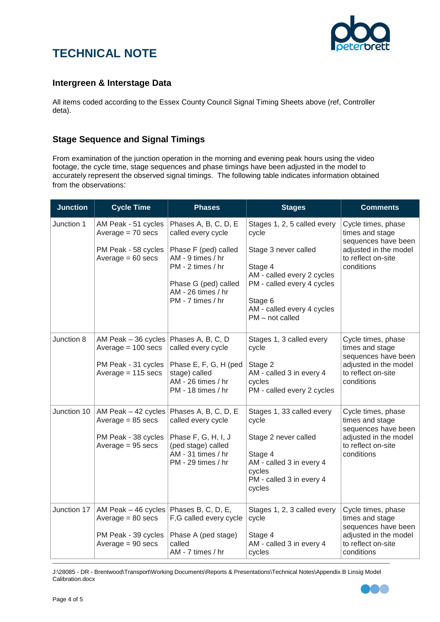

#### **Intergreen & Interstage Data**

All items coded according to the Essex County Council Signal Timing Sheets above (ref, Controller deta).

## **Stage Sequence and Signal Timings**

From examination of the junction operation in the morning and evening peak hours using the video footage, the cycle time, stage sequences and phase timings have been adjusted in the model to accurately represent the observed signal timings. The following table indicates information obtained from the observations:

| <b>Junction</b> | <b>Cycle Time</b>                                                                                             | <b>Phases</b>                                                                                                                                                                   | <b>Stages</b>                                                                                                                                                                                     | <b>Comments</b>                                                                                                           |
|-----------------|---------------------------------------------------------------------------------------------------------------|---------------------------------------------------------------------------------------------------------------------------------------------------------------------------------|---------------------------------------------------------------------------------------------------------------------------------------------------------------------------------------------------|---------------------------------------------------------------------------------------------------------------------------|
| Junction 1      | AM Peak - 51 cycles<br>Average $= 70$ secs<br>PM Peak - 58 cycles<br>Average $= 60$ secs                      | Phases A, B, C, D, E<br>called every cycle<br>Phase F (ped) called<br>AM - 9 times / hr<br>PM - 2 times / hr<br>Phase G (ped) called<br>AM - 26 times / hr<br>PM - 7 times / hr | Stages 1, 2, 5 called every<br>cycle<br>Stage 3 never called<br>Stage 4<br>AM - called every 2 cycles<br>PM - called every 4 cycles<br>Stage 6<br>AM - called every 4 cycles<br>$PM - not called$ | Cycle times, phase<br>times and stage<br>sequences have been<br>adjusted in the model<br>to reflect on-site<br>conditions |
| Junction 8      | AM Peak – 36 cycles   Phases A, B, C, D<br>Average $= 100$ secs<br>PM Peak - 31 cycles<br>Average = 115 secs  | called every cycle<br>Phase E, F, G, H (ped<br>stage) called<br>AM - 26 times / hr<br>PM - 18 times / hr                                                                        | Stages 1, 3 called every<br>cycle<br>Stage 2<br>AM - called 3 in every 4<br>cycles<br>PM - called every 2 cycles                                                                                  | Cycle times, phase<br>times and stage<br>sequences have been<br>adjusted in the model<br>to reflect on-site<br>conditions |
| Junction 10     | Average $= 85$ secs<br>PM Peak - 38 cycles<br>Average $= 95$ secs                                             | AM Peak - 42 cycles   Phases A, B, C, D, E<br>called every cycle<br>Phase F, G, H, I, J<br>(ped stage) called<br>AM - 31 times / hr<br>PM - 29 times / hr                       | Stages 1, 33 called every<br>cycle<br>Stage 2 never called<br>Stage 4<br>AM - called 3 in every 4<br>cycles<br>PM - called 3 in every 4<br>cycles                                                 | Cycle times, phase<br>times and stage<br>sequences have been<br>adjusted in the model<br>to reflect on-site<br>conditions |
| Junction 17     | AM Peak - 46 cycles   Phases B, C, D, E,<br>Average $= 80$ secs<br>PM Peak - 39 cycles<br>Average $= 90$ secs | F,G called every cycle<br>Phase A (ped stage)<br>called<br>AM - 7 times / hr                                                                                                    | Stages 1, 2, 3 called every<br>cycle<br>Stage 4<br>AM - called 3 in every 4<br>cycles                                                                                                             | Cycle times, phase<br>times and stage<br>sequences have been<br>adjusted in the model<br>to reflect on-site<br>conditions |

J:\28085 - DR - Brentwood\Transport\Working Documents\Reports & Presentations\Technical Notes\Appendix B Linsig Model Calibration.docx